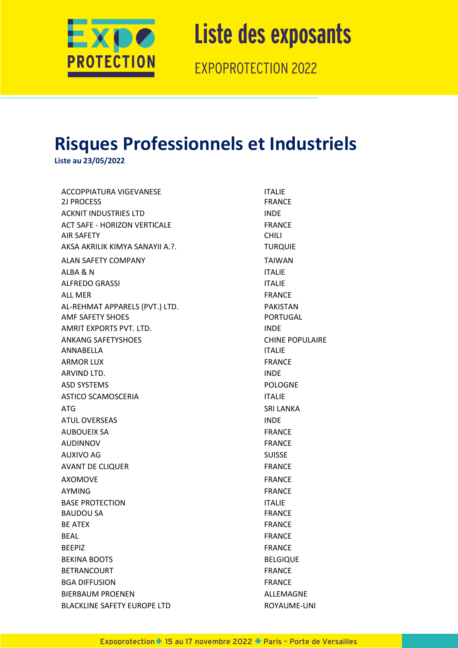

EXPOPROTECTION 2022

#### **Risques Professionnels et Industriels**

**Liste au 23/05/2022**

ACCOPPIATURA VIGEVANESE **ITALIE** 2J PROCESS FRANCE ACKNIT INDUSTRIES LTD INDE ACT SAFE - HORIZON VERTICALE FRANCE AIR SAFETY CHILI AKSA AKRILIK KIMYA SANAYII A.?. TURQUIE ALAN SAFETY COMPANY TAIWAN ALBA & N ITALIE ALFREDO GRASSI NATURAL DE L'ANNE EN ENTRE EN ENTRE EN ENTRE EN ENTRE EN ENTRE EN ENTRE EN ENTRE EN ENTRE EN EN ALL MER
SENIGER
THE SERIES AND THE SERIES OF THE SERIES OF THE SERIES OF THE SERIES OF THE SERIES OF THE SERIES OF THE SERIES OF THE SERIES OF THE SERIES OF THE SERIES OF THE SERIES OF THE SERIES OF THE SERIES OF THE SERIE AL-REHMAT APPARELS (PVT.) LTD. PAKISTAN AMF SAFETY SHOES AND THE PORTUGAL AMRIT EXPORTS PVT. LTD. INDE ANKANG SAFETYSHOES CHINE POPULAIRE ANNABELLA ITALIE ARMOR LUX FRANCE ARVIND LTD. **INDE** ASD SYSTEMS POLOGNE ASTICO SCAMOSCERIA **ITALIE** ATG SRI LANKA ATUL OVERSEAS AND INDE AUBOUEIX SA FRANCE AUDINNOV FRANCE AUXIVO AG SUISSE AVANT DE CLIQUER FRANCE AXOMOVE FRANCE AYMING **Example 20** FRANCE BASE PROTECTION ITALIE BAUDOU SA FRANCE BE ATEX FRANCE BEAL **Example 20** FRANCE BEEPIZ FRANCE BEKINA BOOTS BELGIQUE BETRANCOURT FRANCE BGA DIFFUSION FRANCE BIERBAUM PROENEN ALLEMAGNE BLACKLINE SAFETY EUROPE LTD **EXAMPLE A ROYAUME-UNI**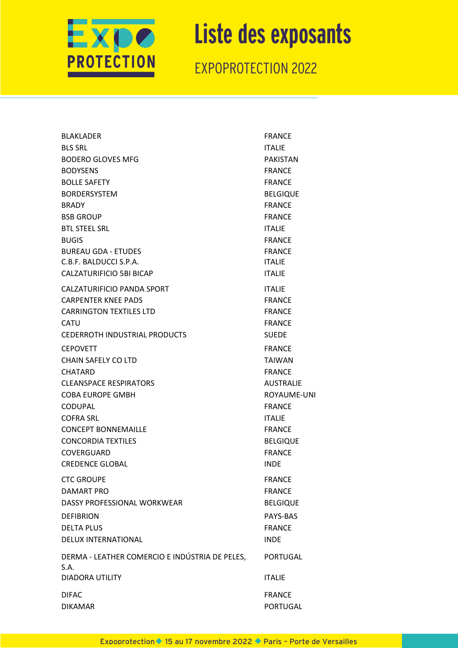

| <b>BLAKLADER</b>                               | <b>FRANCE</b>    |
|------------------------------------------------|------------------|
| <b>BLS SRL</b>                                 | <b>ITALIE</b>    |
| <b>BODERO GLOVES MFG</b>                       | <b>PAKISTAN</b>  |
| <b>BODYSENS</b>                                | <b>FRANCE</b>    |
| <b>BOLLE SAFETY</b>                            | <b>FRANCE</b>    |
| <b>BORDERSYSTEM</b>                            | <b>BELGIQUE</b>  |
| <b>BRADY</b>                                   | <b>FRANCE</b>    |
| <b>BSB GROUP</b>                               | <b>FRANCE</b>    |
| <b>BTL STEEL SRL</b>                           | <b>ITALIE</b>    |
| <b>BUGIS</b>                                   | <b>FRANCE</b>    |
| <b>BUREAU GDA - ETUDES</b>                     | <b>FRANCE</b>    |
| C.B.F. BALDUCCI S.P.A.                         | <b>ITALIE</b>    |
| CALZATURIFICIO 5BI BICAP                       | <b>ITALIE</b>    |
| CALZATURIFICIO PANDA SPORT                     | <b>ITALIE</b>    |
| <b>CARPENTER KNEE PADS</b>                     | <b>FRANCE</b>    |
| <b>CARRINGTON TEXTILES LTD</b>                 | <b>FRANCE</b>    |
| <b>CATU</b>                                    | <b>FRANCE</b>    |
| <b>CEDERROTH INDUSTRIAL PRODUCTS</b>           | <b>SUEDE</b>     |
| <b>CEPOVETT</b>                                | <b>FRANCE</b>    |
| CHAIN SAFELY CO LTD                            | <b>TAIWAN</b>    |
| CHATARD                                        | <b>FRANCE</b>    |
| <b>CLEANSPACE RESPIRATORS</b>                  | <b>AUSTRALIE</b> |
| <b>COBA EUROPE GMBH</b>                        | ROYAUME-UNI      |
| <b>CODUPAL</b>                                 | <b>FRANCE</b>    |
| <b>COFRA SRL</b>                               | <b>ITALIE</b>    |
| <b>CONCEPT BONNEMAILLE</b>                     | <b>FRANCE</b>    |
| <b>CONCORDIA TEXTILES</b>                      | <b>BELGIQUE</b>  |
| COVERGUARD                                     | <b>FRANCE</b>    |
| <b>CREDENCE GLOBAL</b>                         | <b>INDE</b>      |
| <b>CTC GROUPE</b>                              | <b>FRANCE</b>    |
| DAMART PRO                                     | <b>FRANCE</b>    |
| DASSY PROFESSIONAL WORKWEAR                    | <b>BELGIQUE</b>  |
| <b>DEFIBRION</b>                               | PAYS-BAS         |
| <b>DELTA PLUS</b>                              | <b>FRANCE</b>    |
| <b>DELUX INTERNATIONAL</b>                     | <b>INDE</b>      |
| DERMA - LEATHER COMERCIO E INDÚSTRIA DE PELES, | PORTUGAL         |
| S.A.                                           |                  |
| <b>DIADORA UTILITY</b>                         | <b>ITALIE</b>    |
| <b>DIFAC</b>                                   | <b>FRANCE</b>    |
| <b>DIKAMAR</b>                                 | <b>PORTUGAL</b>  |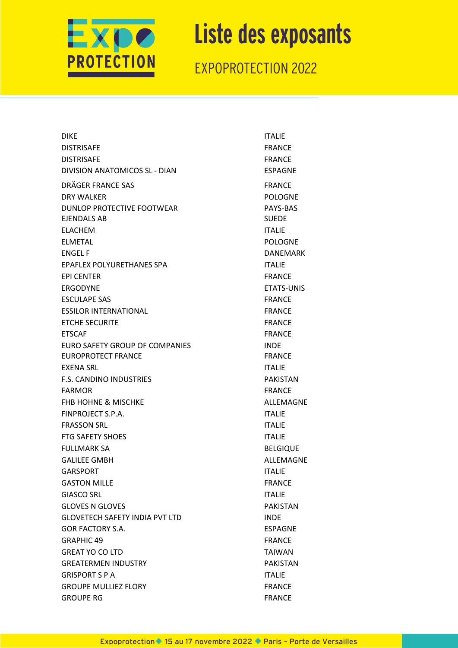

| <b>DIKE</b>                           | <b>ITALIE</b>     |
|---------------------------------------|-------------------|
| <b>DISTRISAFE</b>                     | <b>FRANCE</b>     |
| <b>DISTRISAFE</b>                     | <b>FRANCE</b>     |
| DIVISION ANATOMICOS SL - DIAN         | <b>ESPAGNE</b>    |
| DRÄGER FRANCE SAS                     | <b>FRANCE</b>     |
| DRY WALKER                            | <b>POLOGNE</b>    |
| DUNLOP PROTECTIVE FOOTWEAR            | PAYS-BAS          |
| <b>EJENDALS AB</b>                    | <b>SUEDE</b>      |
| <b>ELACHEM</b>                        | <b>ITALIE</b>     |
| <b>ELMETAL</b>                        | <b>POLOGNE</b>    |
| <b>ENGEL F</b>                        | <b>DANEMARK</b>   |
| EPAFLEX POLYURETHANES SPA             | <b>ITALIE</b>     |
| <b>EPI CENTER</b>                     | <b>FRANCE</b>     |
| <b>FRGODYNE</b>                       | <b>ETATS-UNIS</b> |
| <b>ESCULAPE SAS</b>                   | <b>FRANCE</b>     |
| <b>ESSILOR INTERNATIONAL</b>          | <b>FRANCE</b>     |
| <b>ETCHE SECURITE</b>                 | <b>FRANCE</b>     |
| <b>ETSCAF</b>                         | <b>FRANCE</b>     |
| EURO SAFETY GROUP OF COMPANIES        | <b>INDE</b>       |
| EUROPROTECT FRANCE                    | <b>FRANCE</b>     |
| EXENA SRL                             | <b>ITALIE</b>     |
| <b>F.S. CANDINO INDUSTRIES</b>        | <b>PAKISTAN</b>   |
| <b>FARMOR</b>                         | <b>FRANCE</b>     |
| <b>FHB HOHNE &amp; MISCHKE</b>        | ALLEMAGNE         |
| FINPROJECT S.P.A.                     | <b>ITALIE</b>     |
| <b>FRASSON SRL</b>                    | <b>ITALIE</b>     |
| <b>FTG SAFETY SHOES</b>               | <b>ITALIE</b>     |
| <b>FULLMARK SA</b>                    | <b>BELGIQUE</b>   |
| <b>GALILEE GMBH</b>                   | ALLEMAGNE         |
| GARSPORT                              | <b>ITALIE</b>     |
| <b>GASTON MILLE</b>                   | <b>FRANCE</b>     |
| <b>GIASCO SRL</b>                     | <b>ITALIE</b>     |
| <b>GLOVES N GLOVES</b>                | <b>PAKISTAN</b>   |
| <b>GLOVETECH SAFETY INDIA PVT LTD</b> | INDE              |
| <b>GOR FACTORY S.A.</b>               | <b>ESPAGNE</b>    |
| <b>GRAPHIC 49</b>                     | <b>FRANCE</b>     |
| <b>GREAT YO CO LTD</b>                | <b>TAIWAN</b>     |
| <b>GREATERMEN INDUSTRY</b>            | <b>PAKISTAN</b>   |
| <b>GRISPORT S P A</b>                 | <b>ITALIE</b>     |
| <b>GROUPE MULLIEZ FLORY</b>           | <b>FRANCE</b>     |
| <b>GROUPE RG</b>                      | <b>FRANCE</b>     |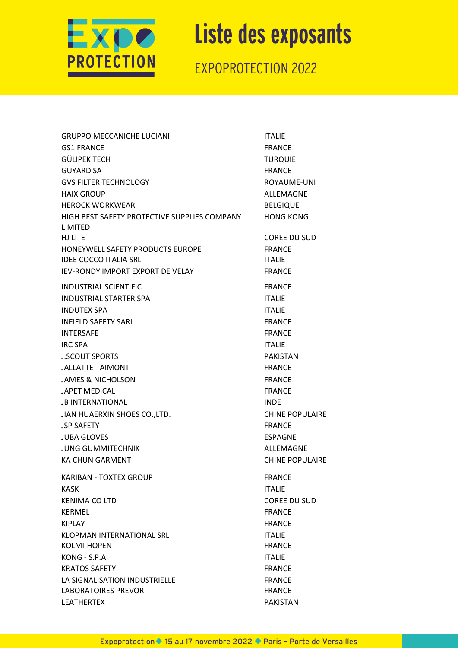

| <b>GRUPPO MECCANICHE LUCIANI</b>                        | <b>ITALIE</b>          |
|---------------------------------------------------------|------------------------|
| GS1 FRANCE                                              | <b>FRANCE</b>          |
| GÜLIPEK TECH                                            | <b>TURQUIE</b>         |
| <b>GUYARD SA</b>                                        | <b>FRANCE</b>          |
| GVS FILTER TECHNOLOGY                                   | ROYAUME-UNI            |
| HAIX GROUP                                              | ALLEMAGNE              |
| HEROCK WORKWEAR                                         | <b>BELGIQUE</b>        |
| HIGH BEST SAFETY PROTECTIVE SUPPLIES COMPANY<br>LIMITED | <b>HONG KONG</b>       |
| HJ LITE                                                 | <b>COREE DU SUD</b>    |
| HONEYWELL SAFETY PRODUCTS EUROPE                        | <b>FRANCE</b>          |
| IDEE COCCO ITALIA SRL                                   | <b>ITALIE</b>          |
| IEV-RONDY IMPORT EXPORT DE VELAY                        | <b>FRANCE</b>          |
| INDUSTRIAL SCIENTIFIC                                   | <b>FRANCE</b>          |
| INDUSTRIAL STARTER SPA                                  | <b>ITALIE</b>          |
| INDUTEX SPA                                             | <b>ITALIE</b>          |
| <b>INFIELD SAFETY SARL</b>                              | <b>FRANCE</b>          |
| INTERSAFE                                               | <b>FRANCE</b>          |
| IRC SPA                                                 | <b>ITALIE</b>          |
| J.SCOUT SPORTS                                          | <b>PAKISTAN</b>        |
| JALLATTE - AIMONT                                       | <b>FRANCE</b>          |
| JAMES & NICHOLSON                                       | <b>FRANCE</b>          |
| JAPET MEDICAL                                           | <b>FRANCE</b>          |
| <b>JB INTERNATIONAL</b>                                 | <b>INDE</b>            |
| JIAN HUAERXIN SHOES CO.,LTD.                            | <b>CHINE POPULAIRE</b> |
| <b>JSP SAFETY</b>                                       | <b>FRANCE</b>          |
| JUBA GLOVES                                             | <b>ESPAGNE</b>         |
| JUNG GUMMITECHNIK                                       | ALLEMAGNE              |
| KA CHUN GARMENT                                         | <b>CHINE POPULAIRE</b> |
| KARIBAN - TOXTEX GROUP                                  | <b>FRANCE</b>          |
| KASK                                                    | <b>ITALIE</b>          |
| KENIMA CO LTD                                           | <b>COREE DU SUD</b>    |
| KERMEL                                                  | <b>FRANCE</b>          |
| KIPLAY                                                  | <b>FRANCE</b>          |
| KLOPMAN INTERNATIONAL SRL                               | <b>ITALIE</b>          |
| KOLMI-HOPEN                                             | <b>FRANCE</b>          |
| KONG - S.P.A                                            | <b>ITALIE</b>          |
| <b>KRATOS SAFETY</b>                                    | <b>FRANCE</b>          |
| LA SIGNALISATION INDUSTRIELLE                           | <b>FRANCE</b>          |
| <b>LABORATOIRES PREVOR</b>                              | <b>FRANCE</b>          |
| LEATHERTEX                                              | <b>PAKISTAN</b>        |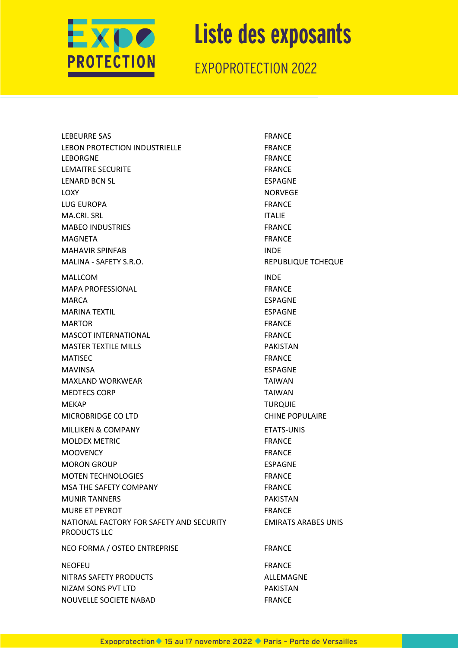

| <b>LEBEURRE SAS</b>                                      | <b>FRANCE</b>              |
|----------------------------------------------------------|----------------------------|
| LEBON PROTECTION INDUSTRIELLE                            | <b>FRANCE</b>              |
| LEBORGNE                                                 | <b>FRANCE</b>              |
| <b>LEMAITRE SECURITE</b>                                 | <b>FRANCE</b>              |
| <b>LENARD BCN SL</b>                                     | <b>ESPAGNE</b>             |
| LOXY                                                     | <b>NORVEGE</b>             |
| LUG EUROPA                                               | <b>FRANCE</b>              |
| MA.CRI. SRL                                              | <b>ITALIE</b>              |
| <b>MABEO INDUSTRIES</b>                                  | <b>FRANCE</b>              |
| MAGNETA                                                  | <b>FRANCE</b>              |
| <b>MAHAVIR SPINFAB</b>                                   | <b>INDE</b>                |
| MALINA - SAFETY S.R.O.                                   | <b>REPUBLIQUE TCHEQUE</b>  |
| MALLCOM                                                  | <b>INDE</b>                |
| <b>MAPA PROFESSIONAL</b>                                 | <b>FRANCE</b>              |
| MARCA                                                    | <b>ESPAGNE</b>             |
| <b>MARINA TEXTIL</b>                                     | ESPAGNE                    |
| <b>MARTOR</b>                                            | <b>FRANCE</b>              |
| <b>MASCOT INTERNATIONAL</b>                              | <b>FRANCE</b>              |
| <b>MASTER TEXTILE MILLS</b>                              | <b>PAKISTAN</b>            |
| <b>MATISEC</b>                                           | <b>FRANCE</b>              |
| <b>MAVINSA</b>                                           | ESPAGNE                    |
| <b>MAXLAND WORKWEAR</b>                                  | <b>TAIWAN</b>              |
| <b>MEDTECS CORP</b>                                      | <b>TAIWAN</b>              |
| <b>MEKAP</b>                                             | <b>TURQUIE</b>             |
| MICROBRIDGE CO LTD                                       | <b>CHINE POPULAIRE</b>     |
| <b>MILLIKEN &amp; COMPANY</b>                            | <b>ETATS-UNIS</b>          |
| <b>MOLDEX METRIC</b>                                     | <b>FRANCE</b>              |
| <b>MOOVENCY</b>                                          | <b>FRANCE</b>              |
| <b>MORON GROUP</b>                                       | <b>ESPAGNE</b>             |
| <b>MOTEN TECHNOLOGIES</b>                                | <b>FRANCE</b>              |
| MSA THE SAFETY COMPANY                                   | <b>FRANCE</b>              |
| <b>MUNIR TANNERS</b>                                     | <b>PAKISTAN</b>            |
| <b>MURE ET PEYROT</b>                                    | <b>FRANCE</b>              |
| NATIONAL FACTORY FOR SAFETY AND SECURITY<br>PRODUCTS LLC | <b>EMIRATS ARABES UNIS</b> |
| NEO FORMA / OSTEO ENTREPRISE                             | <b>FRANCE</b>              |
| <b>NEOFEU</b>                                            | <b>FRANCE</b>              |
| NITRAS SAFETY PRODUCTS                                   | ALLEMAGNE                  |
| NIZAM SONS PVT LTD                                       | <b>PAKISTAN</b>            |
| NOUVELLE SOCIETE NABAD                                   | <b>FRANCE</b>              |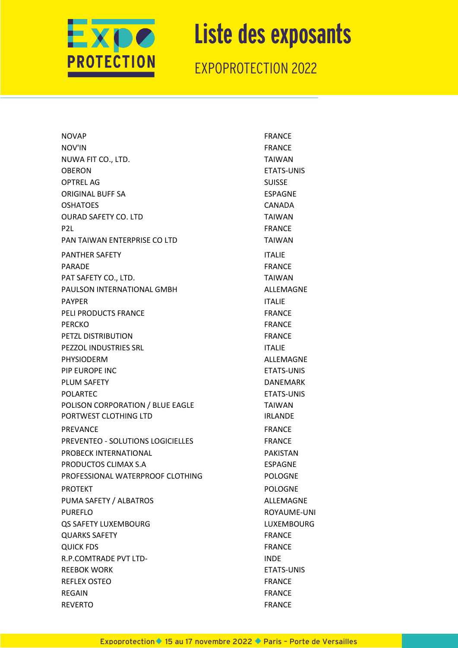

| <b>NOVAP</b>                      | <b>FRANCE</b>     |
|-----------------------------------|-------------------|
| NOV'IN                            | <b>FRANCE</b>     |
| NUWA FIT CO., LTD.                | <b>TAIWAN</b>     |
| OBERON                            | <b>ETATS-UNIS</b> |
| <b>OPTREL AG</b>                  | <b>SUISSE</b>     |
| ORIGINAL BUFF SA                  | <b>ESPAGNE</b>    |
| OSHATOES                          | CANADA            |
| <b>OURAD SAFETY CO. LTD</b>       | <b>TAIWAN</b>     |
| P <sub>2L</sub>                   | <b>FRANCE</b>     |
| PAN TAIWAN ENTERPRISE CO LTD      | <b>TAIWAN</b>     |
| <b>PANTHER SAFETY</b>             | <b>ITALIE</b>     |
| PARADE                            | <b>FRANCE</b>     |
| PAT SAFETY CO., LTD.              | <b>TAIWAN</b>     |
| PAULSON INTERNATIONAL GMBH        | ALLEMAGNE         |
| <b>PAYPER</b>                     | <b>ITALIE</b>     |
| PELI PRODUCTS FRANCE              | <b>FRANCE</b>     |
| <b>PERCKO</b>                     | <b>FRANCE</b>     |
| PETZL DISTRIBUTION                | <b>FRANCE</b>     |
| PEZZOL INDUSTRIES SRL             | <b>ITALIE</b>     |
| <b>PHYSIODERM</b>                 | ALLEMAGNE         |
| PIP EUROPE INC                    | ETATS-UNIS        |
| PLUM SAFETY                       | <b>DANEMARK</b>   |
| <b>POLARTEC</b>                   | <b>ETATS-UNIS</b> |
| POLISON CORPORATION / BLUE EAGLE  | <b>TAIWAN</b>     |
| PORTWEST CLOTHING LTD             | <b>IRLANDE</b>    |
| <b>PREVANCE</b>                   | <b>FRANCE</b>     |
| PREVENTEO - SOLUTIONS LOGICIELLES | <b>FRANCE</b>     |
| PROBECK INTERNATIONAL             | <b>PAKISTAN</b>   |
| PRODUCTOS CLIMAX S.A              | <b>ESPAGNE</b>    |
| PROFESSIONAL WATERPROOF CLOTHING  | <b>POLOGNE</b>    |
| <b>PROTEKT</b>                    | <b>POLOGNE</b>    |
| PUMA SAFETY / ALBATROS            | ALLEMAGNE         |
| <b>PUREFLO</b>                    | ROYAUME-UNI       |
| QS SAFETY LUXEMBOURG              | <b>LUXEMBOURG</b> |
| <b>QUARKS SAFETY</b>              | <b>FRANCE</b>     |
| <b>QUICK FDS</b>                  | <b>FRANCE</b>     |
| <b>R.P.COMTRADE PVT LTD-</b>      | <b>INDE</b>       |
| <b>REEBOK WORK</b>                | <b>ETATS-UNIS</b> |
| <b>REFLEX OSTEO</b>               | <b>FRANCE</b>     |
| <b>REGAIN</b>                     | <b>FRANCE</b>     |
| <b>REVERTO</b>                    | <b>FRANCE</b>     |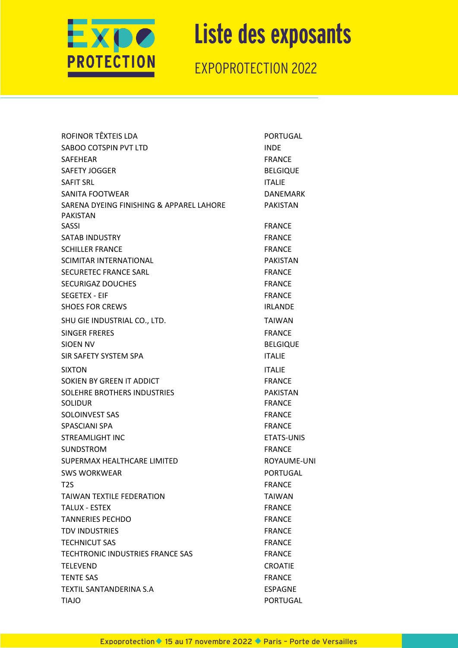

| ROFINOR TËXTEIS LDA                                  | <b>PORTUGAL</b> |
|------------------------------------------------------|-----------------|
| SABOO COTSPIN PVT LTD                                | <b>INDE</b>     |
| SAFEHEAR                                             | <b>FRANCE</b>   |
| SAFETY JOGGER                                        | <b>BELGIQUE</b> |
| SAFIT SRL                                            | <b>ITALIE</b>   |
| SANITA FOOTWEAR                                      | <b>DANEMARK</b> |
| SARENA DYEING FINISHING & APPAREL LAHORE<br>PAKISTAN | <b>PAKISTAN</b> |
| SASSI                                                | <b>FRANCE</b>   |
| SATAB INDUSTRY                                       | <b>FRANCE</b>   |
| SCHILLER FRANCE                                      | <b>FRANCE</b>   |
| SCIMITAR INTERNATIONAL                               | <b>PAKISTAN</b> |
| SECURETEC FRANCE SARL                                | <b>FRANCE</b>   |
| <b>SECURIGAZ DOUCHES</b>                             | <b>FRANCE</b>   |
| SEGETEX - EIF                                        | <b>FRANCE</b>   |
| <b>SHOES FOR CREWS</b>                               | <b>IRLANDE</b>  |
| SHU GIE INDUSTRIAL CO., LTD.                         | <b>TAIWAN</b>   |
| SINGER FRERES                                        | <b>FRANCE</b>   |
| SIOEN NV                                             | <b>BELGIQUE</b> |
| SIR SAFETY SYSTEM SPA                                | <b>ITALIE</b>   |
| <b>SIXTON</b>                                        | <b>ITALIE</b>   |
| SOKIEN BY GREEN IT ADDICT                            | <b>FRANCE</b>   |
| SOLEHRE BROTHERS INDUSTRIES                          | <b>PAKISTAN</b> |
| SOLIDUR                                              | <b>FRANCE</b>   |
| SOLOINVEST SAS                                       | <b>FRANCE</b>   |
| SPASCIANI SPA                                        | <b>FRANCE</b>   |
| STREAMLIGHT INC                                      | ETATS-UNIS      |
| SUNDSTROM                                            | <b>FRANCE</b>   |
| SUPERMAX HEALTHCARE LIMITED                          | ROYAUME-UNI     |
| <b>SWS WORKWEAR</b>                                  | PORTUGAL        |
| T2S                                                  | <b>FRANCE</b>   |
| TAIWAN TEXTILE FEDERATION                            | <b>TAIWAN</b>   |
| TALUX - ESTEX                                        | <b>FRANCE</b>   |
| <b>TANNERIES PECHDO</b>                              | <b>FRANCE</b>   |
| TDV INDUSTRIES                                       | <b>FRANCE</b>   |
| TECHNICUT SAS                                        | <b>FRANCE</b>   |
| TECHTRONIC INDUSTRIES FRANCE SAS                     | <b>FRANCE</b>   |
| TELEVEND                                             | <b>CROATIE</b>  |
| TENTE SAS                                            | <b>FRANCE</b>   |
| TEXTIL SANTANDERINA S.A                              | <b>ESPAGNE</b>  |
| <b>OLAIT</b>                                         | PORTUGAL        |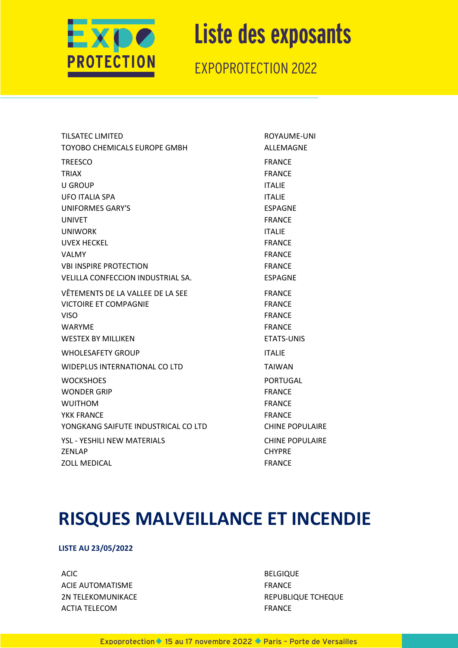

EXPOPROTECTION 2022

| <b>TILSATEC LIMITED</b>             | ROYAUME-UNI            |
|-------------------------------------|------------------------|
| TOYOBO CHEMICALS EUROPE GMBH        | <b>ALLEMAGNE</b>       |
| <b>TREESCO</b>                      | <b>FRANCE</b>          |
| <b>TRIAX</b>                        | <b>FRANCE</b>          |
| <b>U GROUP</b>                      | <b>ITALIE</b>          |
| <b>UFO ITALIA SPA</b>               | <b>ITALIE</b>          |
| <b>UNIFORMES GARY'S</b>             | <b>ESPAGNE</b>         |
| <b>UNIVET</b>                       | <b>FRANCE</b>          |
| <b>UNIWORK</b>                      | <b>ITALIE</b>          |
| <b>UVEX HECKEL</b>                  | <b>FRANCE</b>          |
| <b>VALMY</b>                        | <b>FRANCE</b>          |
| <b>VBI INSPIRE PROTECTION</b>       | <b>FRANCE</b>          |
| VELILLA CONFECCION INDUSTRIAL SA.   | <b>ESPAGNE</b>         |
| VÊTEMENTS DE LA VALLEE DE LA SEE    | <b>FRANCE</b>          |
| <b>VICTOIRE ET COMPAGNIE</b>        | <b>FRANCE</b>          |
| <b>VISO</b>                         | <b>FRANCE</b>          |
| <b>WARYME</b>                       | <b>FRANCE</b>          |
| <b>WESTEX BY MILLIKEN</b>           | <b>ETATS-UNIS</b>      |
| <b>WHOLESAFETY GROUP</b>            | <b>ITALIE</b>          |
| WIDEPLUS INTERNATIONAL CO LTD       | <b>TAIWAN</b>          |
| <b>WOCKSHOES</b>                    | <b>PORTUGAL</b>        |
| <b>WONDER GRIP</b>                  | <b>FRANCE</b>          |
| <b>WUITHOM</b>                      | <b>FRANCE</b>          |
| <b>YKK FRANCE</b>                   | <b>FRANCE</b>          |
| YONGKANG SAIFUTE INDUSTRICAL CO LTD | <b>CHINE POPULAIRE</b> |
| <b>YSL - YESHILI NEW MATERIALS</b>  | <b>CHINE POPULAIRE</b> |
| <b>ZENLAP</b>                       | <b>CHYPRE</b>          |
| <b>ZOLL MEDICAL</b>                 | <b>FRANCE</b>          |
|                                     |                        |

#### **RISQUES MALVEILLANCE ET INCENDIE**

#### **LISTE AU 23/05/2022**

ACIC BELGIQUE ACIE AUTOMATISME FRANCE 2N TELEKOMUNIKACE REPUBLIQUE TCHEQUE ACTIA TELECOM **FRANCE**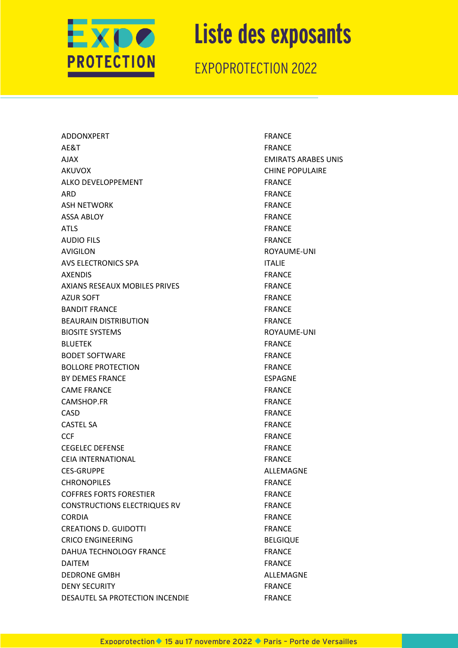

EXPOPROTECTION 2022

ADDONXPERT FRANCE AE&T FRANCE AJAX EMIRATS ARABES UNIS AKUVOX CHINE POPULAIRE ALKO DEVELOPPEMENT FRANCE ARD FRANCE ASH NETWORK FRANCE ASSA ABLOY **FRANCE** ATLS FRANCE AUDIO FILS FRANCE AVIGILON **ROYAUME-UNI** AVS ELECTRONICS SPA ITALIE AXENDIS FRANCE AXIANS RESEAUX MOBILES PRIVES FRANCE AZUR SOFT FRANCE BANDIT FRANCE **FRANCE** BEAURAIN DISTRIBUTION FRANCE BIOSITE SYSTEMS **ROYAUME-UNI** BLUETEK FRANCE BODET SOFTWARE FRANCE BOLLORE PROTECTION FRANCE BY DEMES FRANCE ESPAGNE CAME FRANCE **FRANCE FRANCE** CAMSHOP.FR FRANCE CASD FRANCE CASTEL SA FRANCE CCF **FRANCE** CEGELEC DEFENSE FRANCE CEIA INTERNATIONAL **FRANCE** CES-GRUPPE ALLEMAGNE CHRONOPILES FRANCE COFFRES FORTS FORESTIER FRANCE CONSTRUCTIONS ELECTRIQUES RV FRANCE CORDIA FRANCE CREATIONS D. GUIDOTTI FRANCE CRICO ENGINEERING BELGIQUE DAHUA TECHNOLOGY FRANCE FRANCE DAITEM FRANCE DEDRONE GMBH ALLEMAGNE DENY SECURITY FRANCE DESAUTEL SA PROTECTION INCENDIE FRANCE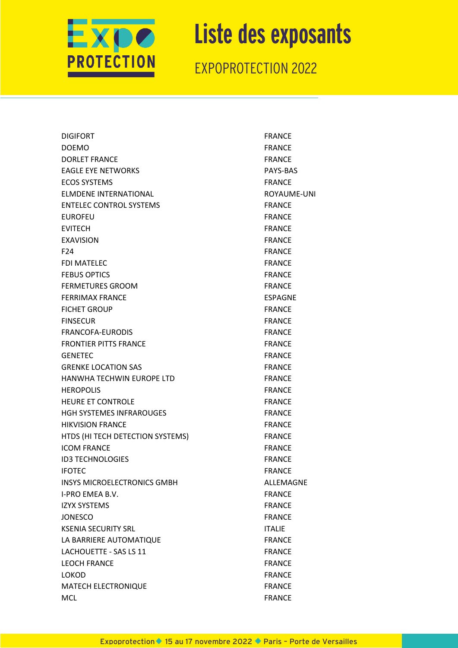

| <b>DIGIFORT</b>                    | <b>FRANCE</b>  |
|------------------------------------|----------------|
| <b>DOEMO</b>                       | <b>FRANCE</b>  |
| <b>DORLET FRANCE</b>               | <b>FRANCE</b>  |
| <b>EAGLE EYE NETWORKS</b>          | PAYS-BAS       |
| <b>ECOS SYSTEMS</b>                | <b>FRANCE</b>  |
| ELMDENE INTERNATIONAL              | ROYAUME-UNI    |
| <b>ENTELEC CONTROL SYSTEMS</b>     | <b>FRANCE</b>  |
| <b>EUROFEU</b>                     | <b>FRANCE</b>  |
| <b>EVITECH</b>                     | <b>FRANCE</b>  |
| <b>EXAVISION</b>                   | <b>FRANCE</b>  |
| F24                                | <b>FRANCE</b>  |
| FDI MATELEC                        | <b>FRANCE</b>  |
| <b>FEBUS OPTICS</b>                | <b>FRANCE</b>  |
| <b>FERMETURES GROOM</b>            | <b>FRANCE</b>  |
| <b>FERRIMAX FRANCE</b>             | <b>ESPAGNE</b> |
| <b>FICHET GROUP</b>                | <b>FRANCE</b>  |
| <b>FINSECUR</b>                    | <b>FRANCE</b>  |
| <b>FRANCOFA-EURODIS</b>            | <b>FRANCE</b>  |
| <b>FRONTIER PITTS FRANCE</b>       | <b>FRANCE</b>  |
| GENETEC                            | <b>FRANCE</b>  |
| <b>GRENKE LOCATION SAS</b>         | <b>FRANCE</b>  |
| HANWHA TECHWIN EUROPE LTD          | <b>FRANCE</b>  |
| <b>HEROPOLIS</b>                   | <b>FRANCE</b>  |
| <b>HEURE ET CONTROLE</b>           | <b>FRANCE</b>  |
| <b>HGH SYSTEMES INFRAROUGES</b>    | <b>FRANCE</b>  |
| HIKVISION FRANCE                   | <b>FRANCE</b>  |
| HTDS (HI TECH DETECTION SYSTEMS)   | <b>FRANCE</b>  |
| <b>ICOM FRANCE</b>                 | <b>FRANCE</b>  |
| <b>ID3 TECHNOLOGIES</b>            | <b>FRANCE</b>  |
| <b>IFOTEC</b>                      | <b>FRANCE</b>  |
| <b>INSYS MICROELECTRONICS GMBH</b> | ALLEMAGNE      |
| I-PRO EMEA B.V.                    | <b>FRANCE</b>  |
| <b>IZYX SYSTEMS</b>                | <b>FRANCE</b>  |
| JONESCO                            | <b>FRANCE</b>  |
| <b>KSENIA SECURITY SRL</b>         | <b>ITALIE</b>  |
| LA BARRIERE AUTOMATIQUE            | <b>FRANCE</b>  |
| LACHOUETTE - SAS LS 11             | <b>FRANCE</b>  |
| <b>LEOCH FRANCE</b>                | <b>FRANCE</b>  |
| LOKOD                              | <b>FRANCE</b>  |
| <b>MATECH ELECTRONIQUE</b>         | <b>FRANCE</b>  |
| MCL                                | <b>FRANCE</b>  |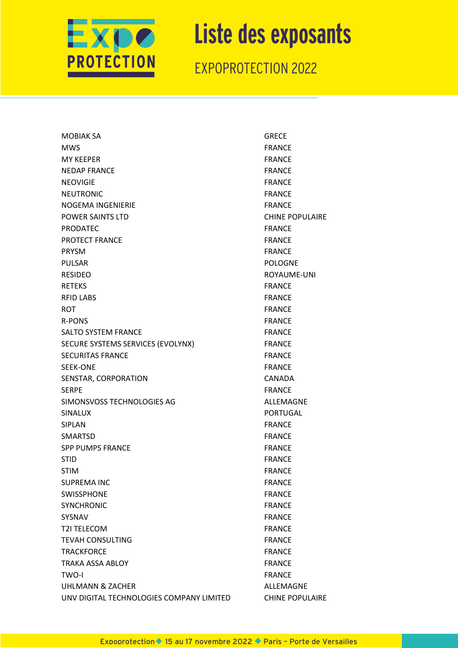

EXPOPROTECTION 2022

MOBIAK SA GRECE MWS FRANCE MY KEEPER FRANCE NEDAP FRANCE FRANCE NEOVIGIE **FRANCE** NEUTRONIC **FRANCE** NOGEMA INGENIERIE FRANCE POWER SAINTS LTD **CHINE POPULAIRE** PRODATEC FRANCE PROTECT FRANCE FRANCE PRYSM FRANCE PULSAR PULSAR PULSAR PULSAR PULSAR PULSAR PULSAR PULSAR PULSAR PULSAR PULSAR PULSAR PULSAR PULSAR PULSAR PULSAR RESIDEO ROYAUME-UNI RETEKS FRANCE RFID LABS FRANCE ROT **FRANCE** R-PONS FRANCE SALTO SYSTEM FRANCE FRANCE SECURE SYSTEMS SERVICES (EVOLYNX) FRANCE SECURITAS FRANCE FRANCE SEEK-ONE FRANCE SENSTAR, CORPORATION CANADA SERPE FRANCE SIMONSVOSS TECHNOLOGIES AG ALLEMAGNE SINALUX PORTUGAL SIPLAN FRANCE SMARTSD FRANCE SPP PUMPS FRANCE FRANCE STID FRANCE STIM FRANCE SUPREMA INC FRANCE SWISSPHONE **SWISSPHONE** SYNCHRONIC **EXAMPLE 1999** FRANCE SYSNAV FRANCE T2I TELECOM FRANCE TEVAH CONSULTING FRANCE TRACKFORCE **FRANCE** TRAKA ASSA ABLOY **FRANCE** TWO-I FRANCE UHLMANN & ZACHER ALLEMAGNE UNV DIGITAL TECHNOLOGIES COMPANY LIMITED CHINE POPULAIRE